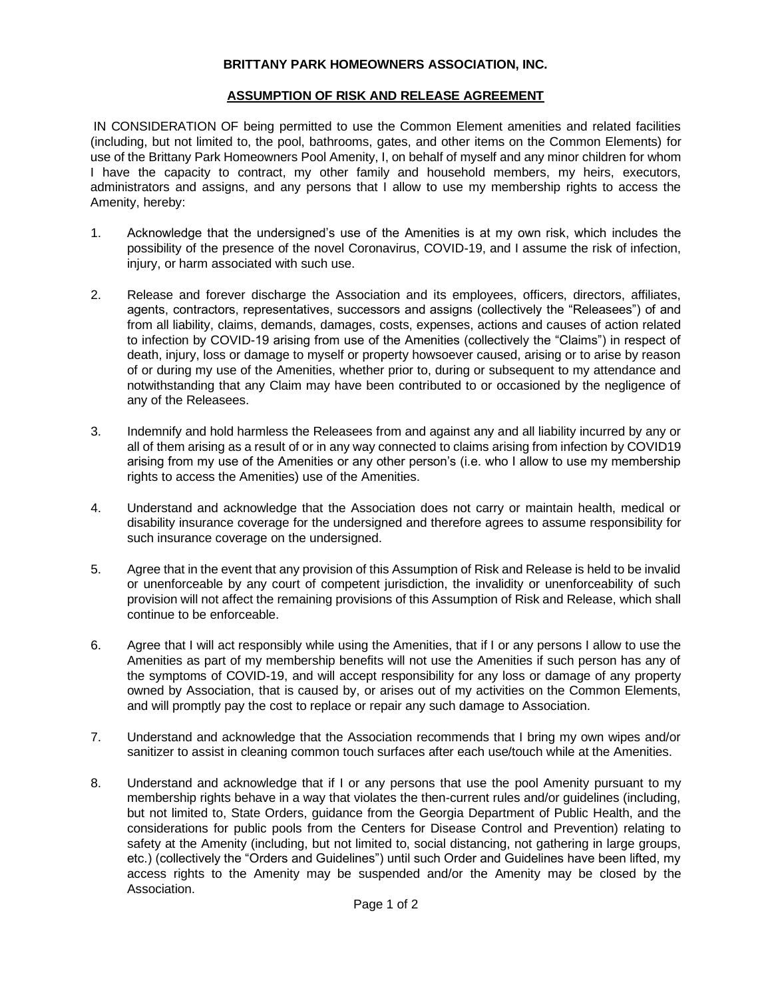## **BRITTANY PARK HOMEOWNERS ASSOCIATION, INC.**

## **ASSUMPTION OF RISK AND RELEASE AGREEMENT**

IN CONSIDERATION OF being permitted to use the Common Element amenities and related facilities (including, but not limited to, the pool, bathrooms, gates, and other items on the Common Elements) for use of the Brittany Park Homeowners Pool Amenity, I, on behalf of myself and any minor children for whom I have the capacity to contract, my other family and household members, my heirs, executors, administrators and assigns, and any persons that I allow to use my membership rights to access the Amenity, hereby:

- 1. Acknowledge that the undersigned's use of the Amenities is at my own risk, which includes the possibility of the presence of the novel Coronavirus, COVID-19, and I assume the risk of infection, injury, or harm associated with such use.
- 2. Release and forever discharge the Association and its employees, officers, directors, affiliates, agents, contractors, representatives, successors and assigns (collectively the "Releasees") of and from all liability, claims, demands, damages, costs, expenses, actions and causes of action related to infection by COVID-19 arising from use of the Amenities (collectively the "Claims") in respect of death, injury, loss or damage to myself or property howsoever caused, arising or to arise by reason of or during my use of the Amenities, whether prior to, during or subsequent to my attendance and notwithstanding that any Claim may have been contributed to or occasioned by the negligence of any of the Releasees.
- 3. Indemnify and hold harmless the Releasees from and against any and all liability incurred by any or all of them arising as a result of or in any way connected to claims arising from infection by COVID19 arising from my use of the Amenities or any other person's (i.e. who I allow to use my membership rights to access the Amenities) use of the Amenities.
- 4. Understand and acknowledge that the Association does not carry or maintain health, medical or disability insurance coverage for the undersigned and therefore agrees to assume responsibility for such insurance coverage on the undersigned.
- 5. Agree that in the event that any provision of this Assumption of Risk and Release is held to be invalid or unenforceable by any court of competent jurisdiction, the invalidity or unenforceability of such provision will not affect the remaining provisions of this Assumption of Risk and Release, which shall continue to be enforceable.
- 6. Agree that I will act responsibly while using the Amenities, that if I or any persons I allow to use the Amenities as part of my membership benefits will not use the Amenities if such person has any of the symptoms of COVID-19, and will accept responsibility for any loss or damage of any property owned by Association, that is caused by, or arises out of my activities on the Common Elements, and will promptly pay the cost to replace or repair any such damage to Association.
- 7. Understand and acknowledge that the Association recommends that I bring my own wipes and/or sanitizer to assist in cleaning common touch surfaces after each use/touch while at the Amenities.
- 8. Understand and acknowledge that if I or any persons that use the pool Amenity pursuant to my membership rights behave in a way that violates the then-current rules and/or guidelines (including, but not limited to, State Orders, guidance from the Georgia Department of Public Health, and the considerations for public pools from the Centers for Disease Control and Prevention) relating to safety at the Amenity (including, but not limited to, social distancing, not gathering in large groups, etc.) (collectively the "Orders and Guidelines") until such Order and Guidelines have been lifted, my access rights to the Amenity may be suspended and/or the Amenity may be closed by the Association.